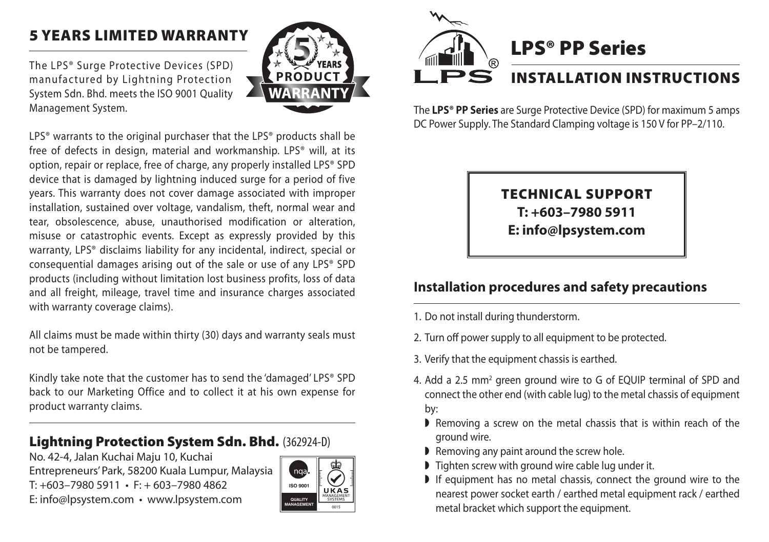## 5 Years Limited Warranty

The LPS® Surge Protective Devices (SPD) manufactured by Lightning Protection System Sdn. Bhd. meets the ISO 9001 Quality Management System.



LPS<sup>®</sup> warrants to the original purchaser that the LPS<sup>®</sup> products shall be free of defects in design, material and workmanship. LPS® will, at its option, repair or replace, free of charge, any properly installed LPS® SPD device that is damaged by lightning induced surge for a period of five years. This warranty does not cover damage associated with improper installation, sustained over voltage, vandalism, theft, normal wear and tear, obsolescence, abuse, unauthorised modification or alteration, misuse or catastrophic events. Except as expressly provided by this warranty, LPS® disclaims liability for any incidental, indirect, special or consequential damages arising out of the sale or use of any LPS® SPD products (including without limitation lost business profits, loss of data and all freight, mileage, travel time and insurance charges associated with warranty coverage claims).

All claims must be made within thirty (30) days and warranty seals must not be tampered.

Kindly take note that the customer has to send the 'damaged' LPS® SPD back to our Marketing Office and to collect it at his own expense for product warranty claims.

#### Lightning Protection System Sdn. Bhd. (362924-D)

No. 42-4, Jalan Kuchai Maju 10, Kuchai Entrepreneurs' Park, 58200 Kuala Lumpur, Malaysia  $T: +603 - 79805911 \cdot F: +603 - 79804862$ E: info@lpsystem.com • www.lpsystem.com





The **LPS® PP Series** are Surge Protective Device (SPD) for maximum 5 amps DC Power Supply. The Standard Clamping voltage is 150 V for PP–2/110.

### TECHNICAL SUPPORT **T: +603–7980 5911 E: info@lpsystem.com**

### **Installation procedures and safety precautions**

- 1. Do not install during thunderstorm.
- 2. Turn off power supply to all equipment to be protected.
- 3. Verify that the equipment chassis is earthed.
- 4. Add a 2.5 mm<sup>2</sup> green ground wire to G of EQUIP terminal of SPD and connect the other end (with cable lug) to the metal chassis of equipment by:
	- $\blacktriangleright$  Removing a screw on the metal chassis that is within reach of the ground wire.
	- $\blacktriangleright$  Removing any paint around the screw hole.
	- $\triangleright$  Tighten screw with ground wire cable lug under it.
	- $\blacktriangleright$  If equipment has no metal chassis, connect the ground wire to the nearest power socket earth / earthed metal equipment rack / earthed metal bracket which support the equipment.